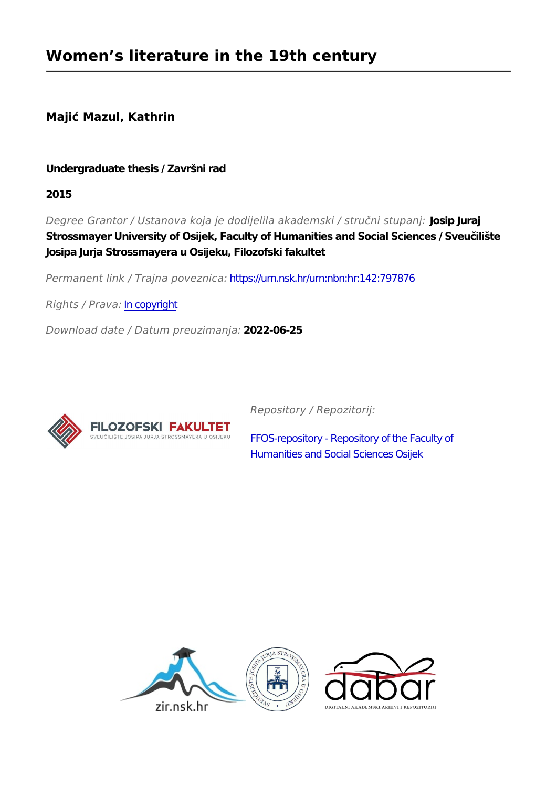**Majić Mazul, Kathrin**

# **Undergraduate thesis / Završni rad**

**2015**

*Degree Grantor / Ustanova koja je dodijelila akademski / stručni stupanj:* **Josip Juraj Strossmayer University of Osijek, Faculty of Humanities and Social Sciences / Sveučilište Josipa Jurja Strossmayera u Osijeku, Filozofski fakultet**

*Permanent link / Trajna poveznica:* <https://urn.nsk.hr/urn:nbn:hr:142:797876>

*Rights / Prava:* [In copyright](http://rightsstatements.org/vocab/InC/1.0/)

*Download date / Datum preuzimanja:* **2022-06-25**



*Repository / Repozitorij:*

[FFOS-repository - Repository of the Faculty of](https://repozitorij.ffos.hr) [Humanities and Social Sciences Osijek](https://repozitorij.ffos.hr)

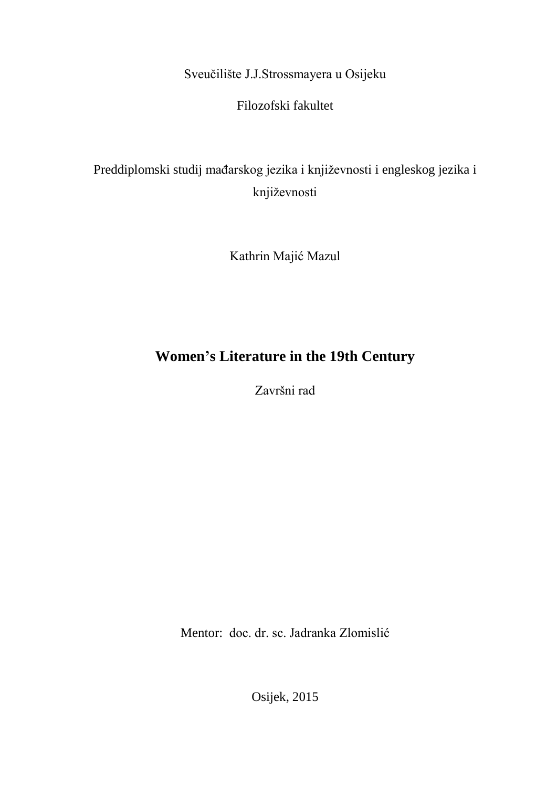Sveučilište J.J.Strossmayera u Osijeku

Filozofski fakultet

# Preddiplomski studij mađarskog jezika i književnosti i engleskog jezika i književnosti

Kathrin Majić Mazul

# **Women's Literature in the 19th Century**

Završni rad

Mentor: doc. dr. sc. Jadranka Zlomislić

Osijek, 2015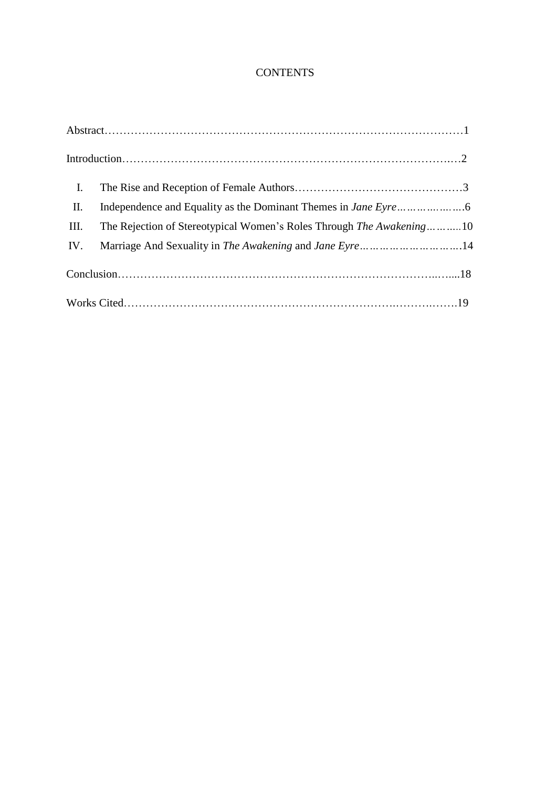# **CONTENTS**

| $\mathbf{I}$ . |                                                                      |  |
|----------------|----------------------------------------------------------------------|--|
| II.            |                                                                      |  |
| III.           | The Rejection of Stereotypical Women's Roles Through The Awakening10 |  |
| IV.            | Marriage And Sexuality in The Awakening and Jane Eyre14              |  |
|                |                                                                      |  |
|                |                                                                      |  |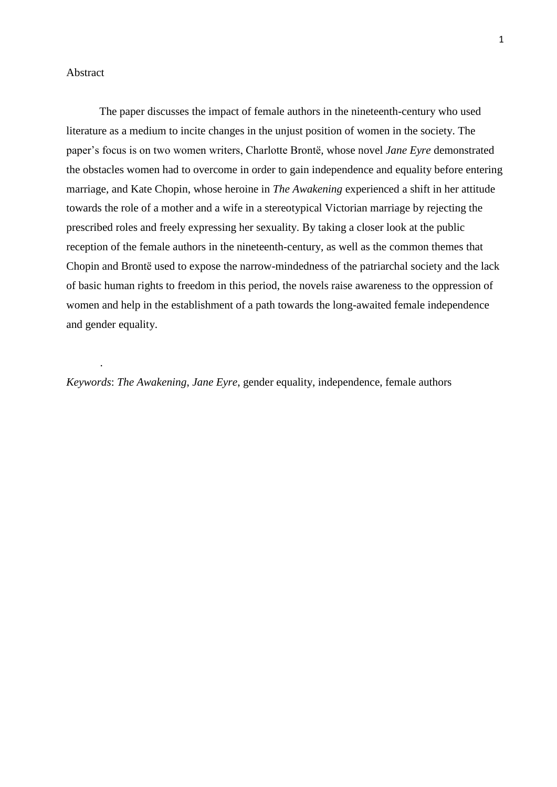#### Abstract

.

The paper discusses the impact of female authors in the nineteenth-century who used literature as a medium to incite changes in the unjust position of women in the society. The paper's focus is on two women writers, Charlotte Brontë, whose novel *Jane Eyre* demonstrated the obstacles women had to overcome in order to gain independence and equality before entering marriage, and Kate Chopin, whose heroine in *The Awakening* experienced a shift in her attitude towards the role of a mother and a wife in a stereotypical Victorian marriage by rejecting the prescribed roles and freely expressing her sexuality. By taking a closer look at the public reception of the female authors in the nineteenth-century, as well as the common themes that Chopin and Brontë used to expose the narrow-mindedness of the patriarchal society and the lack of basic human rights to freedom in this period, the novels raise awareness to the oppression of women and help in the establishment of a path towards the long-awaited female independence and gender equality.

*Keywords*: *The Awakening*, *Jane Eyre*, gender equality, independence, female authors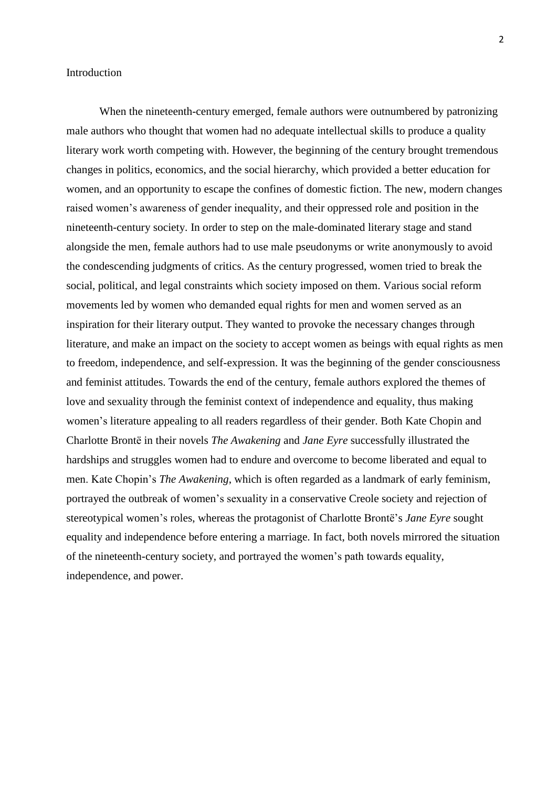#### Introduction

When the nineteenth-century emerged, female authors were outnumbered by patronizing male authors who thought that women had no adequate intellectual skills to produce a quality literary work worth competing with. However, the beginning of the century brought tremendous changes in politics, economics, and the social hierarchy, which provided a better education for women, and an opportunity to escape the confines of domestic fiction. The new, modern changes raised women's awareness of gender inequality, and their oppressed role and position in the nineteenth-century society. In order to step on the male-dominated literary stage and stand alongside the men, female authors had to use male pseudonyms or write anonymously to avoid the condescending judgments of critics. As the century progressed, women tried to break the social, political, and legal constraints which society imposed on them. Various social reform movements led by women who demanded equal rights for men and women served as an inspiration for their literary output. They wanted to provoke the necessary changes through literature, and make an impact on the society to accept women as beings with equal rights as men to freedom, independence, and self-expression. It was the beginning of the gender consciousness and feminist attitudes. Towards the end of the century, female authors explored the themes of love and sexuality through the feminist context of independence and equality, thus making women's literature appealing to all readers regardless of their gender. Both Kate Chopin and Charlotte Brontë in their novels *The Awakening* and *Jane Eyre* successfully illustrated the hardships and struggles women had to endure and overcome to become liberated and equal to men. Kate Chopin's *The Awakening*, which is often regarded as a landmark of early feminism, portrayed the outbreak of women's sexuality in a conservative Creole society and rejection of stereotypical women's roles, whereas the protagonist of Charlotte Brontë's *Jane Eyre* sought equality and independence before entering a marriage. In fact, both novels mirrored the situation of the nineteenth-century society, and portrayed the women's path towards equality, independence, and power.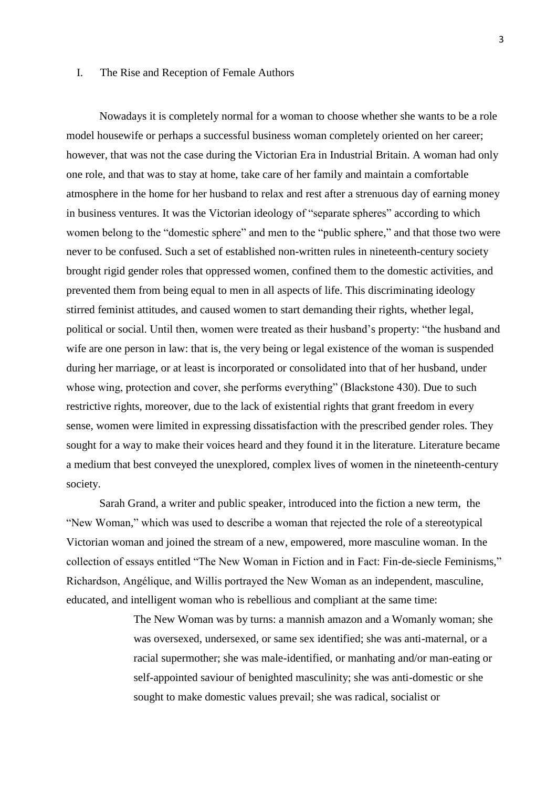### I. The Rise and Reception of Female Authors

Nowadays it is completely normal for a woman to choose whether she wants to be a role model housewife or perhaps a successful business woman completely oriented on her career; however, that was not the case during the Victorian Era in Industrial Britain. A woman had only one role, and that was to stay at home, take care of her family and maintain a comfortable atmosphere in the home for her husband to relax and rest after a strenuous day of earning money in business ventures. It was the Victorian ideology of "separate spheres" according to which women belong to the "domestic sphere" and men to the "public sphere," and that those two were never to be confused. Such a set of established non-written rules in nineteenth-century society brought rigid gender roles that oppressed women, confined them to the domestic activities, and prevented them from being equal to men in all aspects of life. This discriminating ideology stirred feminist attitudes, and caused women to start demanding their rights, whether legal, political or social. Until then, women were treated as their husband's property: "the husband and wife are one person in law: that is, the very being or legal existence of the woman is suspended during her marriage, or at least is incorporated or consolidated into that of her husband, under whose wing, protection and cover, she performs everything" (Blackstone 430). Due to such restrictive rights, moreover, due to the lack of existential rights that grant freedom in every sense, women were limited in expressing dissatisfaction with the prescribed gender roles. They sought for a way to make their voices heard and they found it in the literature. Literature became a medium that best conveyed the unexplored, complex lives of women in the nineteenth-century society.

Sarah Grand, a writer and public speaker, introduced into the fiction a new term, the "New Woman," which was used to describe a woman that rejected the role of a stereotypical Victorian woman and joined the stream of a new, empowered, more masculine woman. In the collection of essays entitled "The New Woman in Fiction and in Fact: Fin-de-siecle Feminisms," Richardson, Angélique, and Willis portrayed the New Woman as an independent, masculine, educated, and intelligent woman who is rebellious and compliant at the same time:

> The New Woman was by turns: a mannish amazon and a Womanly woman; she was oversexed, undersexed, or same sex identified; she was anti-maternal, or a racial supermother; she was male-identified, or manhating and/or man-eating or self-appointed saviour of benighted masculinity; she was anti-domestic or she sought to make domestic values prevail; she was radical, socialist or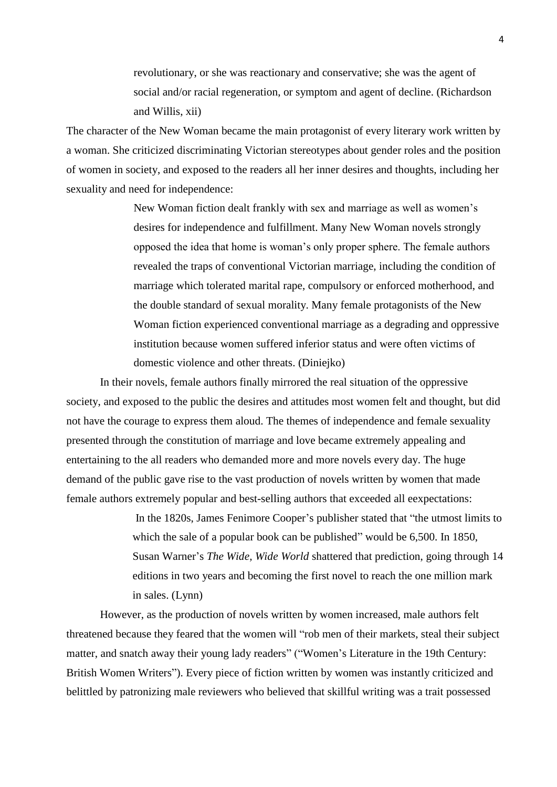revolutionary, or she was reactionary and conservative; she was the agent of social and/or racial regeneration, or symptom and agent of decline. (Richardson and Willis, xii)

The character of the New Woman became the main protagonist of every literary work written by a woman. She criticized discriminating Victorian stereotypes about gender roles and the position of women in society, and exposed to the readers all her inner desires and thoughts, including her sexuality and need for independence:

> New Woman fiction dealt frankly with sex and marriage as well as women's desires for independence and fulfillment. Many New Woman novels strongly opposed the idea that home is woman's only proper sphere. The female authors revealed the traps of conventional Victorian marriage, including the condition of marriage which tolerated marital rape, compulsory or enforced motherhood, and the double standard of sexual morality. Many female protagonists of the New Woman fiction experienced conventional marriage as a degrading and oppressive institution because women suffered inferior status and were often victims of domestic violence and other threats. (Diniejko)

In their novels, female authors finally mirrored the real situation of the oppressive society, and exposed to the public the desires and attitudes most women felt and thought, but did not have the courage to express them aloud. The themes of independence and female sexuality presented through the constitution of marriage and love became extremely appealing and entertaining to the all readers who demanded more and more novels every day. The huge demand of the public gave rise to the vast production of novels written by women that made female authors extremely popular and best-selling authors that exceeded all eexpectations:

> In the 1820s, James Fenimore Cooper's publisher stated that "the utmost limits to which the sale of a popular book can be published" would be 6,500. In 1850, Susan Warner's *The Wide, Wide World* shattered that prediction, going through 14 editions in two years and becoming the first novel to reach the one million mark in sales. (Lynn)

However, as the production of novels written by women increased, male authors felt threatened because they feared that the women will "rob men of their markets, steal their subject matter, and snatch away their young lady readers" ("Women's Literature in the 19th Century: British Women Writers"). Every piece of fiction written by women was instantly criticized and belittled by patronizing male reviewers who believed that skillful writing was a trait possessed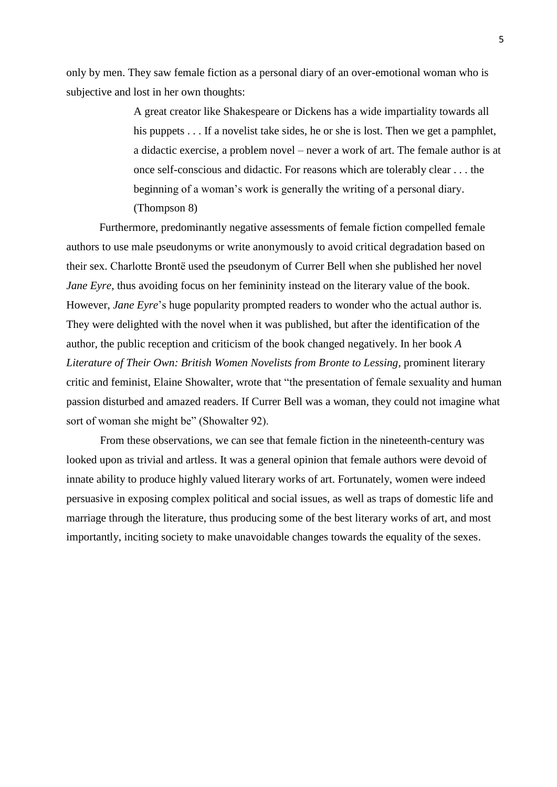only by men. They saw female fiction as a personal diary of an over-emotional woman who is subjective and lost in her own thoughts:

> A great creator like Shakespeare or Dickens has a wide impartiality towards all his puppets . . . If a novelist take sides, he or she is lost. Then we get a pamphlet, a didactic exercise, a problem novel – never a work of art. The female author is at once self-conscious and didactic. For reasons which are tolerably clear . . . the beginning of a woman's work is generally the writing of a personal diary. (Thompson 8)

Furthermore, predominantly negative assessments of female fiction compelled female authors to use male pseudonyms or write anonymously to avoid critical degradation based on their sex. Charlotte Brontë used the pseudonym of Currer Bell when she published her novel *Jane Eyre,* thus avoiding focus on her femininity instead on the literary value of the book. However, *Jane Eyre*'s huge popularity prompted readers to wonder who the actual author is. They were delighted with the novel when it was published, but after the identification of the author, the public reception and criticism of the book changed negatively. In her book *A*  Literature of Their Own: British Women Novelists from Bronte to Lessing, prominent literary critic and feminist, Elaine Showalter, wrote that "the presentation of female sexuality and human passion disturbed and amazed readers. If Currer Bell was a woman, they could not imagine what sort of woman she might be" (Showalter 92).

From these observations, we can see that female fiction in the nineteenth-century was looked upon as trivial and artless. It was a general opinion that female authors were devoid of innate ability to produce highly valued literary works of art. Fortunately, women were indeed persuasive in exposing complex political and social issues, as well as traps of domestic life and marriage through the literature, thus producing some of the best literary works of art, and most importantly, inciting society to make unavoidable changes towards the equality of the sexes.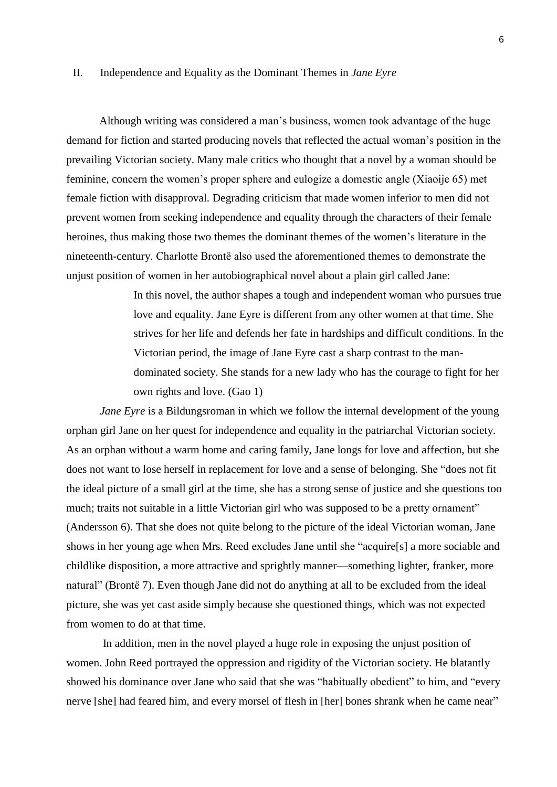## II. Independence and Equality as the Dominant Themes in *Jane Eyre*

Although writing was considered a man's business, women took advantage of the huge demand for fiction and started producing novels that reflected the actual woman's position in the prevailing Victorian society. Many male critics who thought that a novel by a woman should be feminine, concern the women's proper sphere and eulogize a domestic angle (Xiaoije 65) met female fiction with disapproval. Degrading criticism that made women inferior to men did not prevent women from seeking independence and equality through the characters of their female heroines, thus making those two themes the dominant themes of the women's literature in the nineteenth-century. Charlotte Brontë also used the aforementioned themes to demonstrate the unjust position of women in her autobiographical novel about a plain girl called Jane:

> In this novel, the author shapes a tough and independent woman who pursues true love and equality. Jane Eyre is different from any other women at that time. She strives for her life and defends her fate in hardships and difficult conditions. In the Victorian period, the image of Jane Eyre cast a sharp contrast to the mandominated society. She stands for a new lady who has the courage to fight for her own rights and love. (Gao 1)

*Jane Eyre* is a Bildungsroman in which we follow the internal development of the young orphan girl Jane on her quest for independence and equality in the patriarchal Victorian society. As an orphan without a warm home and caring family, Jane longs for love and affection, but she does not want to lose herself in replacement for love and a sense of belonging. She "does not fit the ideal picture of a small girl at the time, she has a strong sense of justice and she questions too much; traits not suitable in a little Victorian girl who was supposed to be a pretty ornament" (Andersson 6). That she does not quite belong to the picture of the ideal Victorian woman, Jane shows in her young age when Mrs. Reed excludes Jane until she "acquire[s] a more sociable and childlike disposition, a more attractive and sprightly manner—something lighter, franker, more natural" (Brontë 7). Even though Jane did not do anything at all to be excluded from the ideal picture, she was yet cast aside simply because she questioned things, which was not expected from women to do at that time.

In addition, men in the novel played a huge role in exposing the unjust position of women. John Reed portrayed the oppression and rigidity of the Victorian society. He blatantly showed his dominance over Jane who said that she was "habitually obedient" to him, and "every nerve [she] had feared him, and every morsel of flesh in [her] bones shrank when he came near"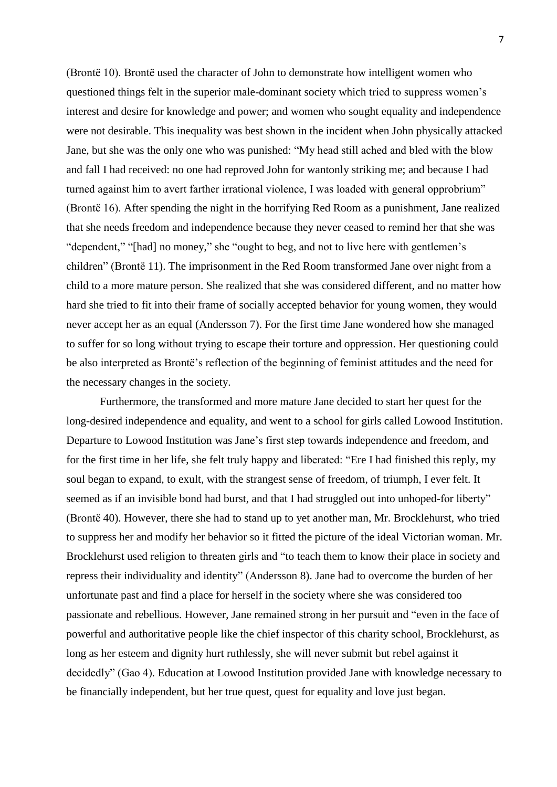(Brontë 10). Brontë used the character of John to demonstrate how intelligent women who questioned things felt in the superior male-dominant society which tried to suppress women's interest and desire for knowledge and power; and women who sought equality and independence were not desirable. This inequality was best shown in the incident when John physically attacked Jane, but she was the only one who was punished: "My head still ached and bled with the blow and fall I had received: no one had reproved John for wantonly striking me; and because I had turned against him to avert farther irrational violence, I was loaded with general opprobrium" (Brontë 16). After spending the night in the horrifying Red Room as a punishment, Jane realized that she needs freedom and independence because they never ceased to remind her that she was "dependent," "[had] no money," she "ought to beg, and not to live here with gentlemen's children" (Brontë 11). The imprisonment in the Red Room transformed Jane over night from a child to a more mature person. She realized that she was considered different, and no matter how hard she tried to fit into their frame of socially accepted behavior for young women, they would never accept her as an equal (Andersson 7). For the first time Jane wondered how she managed to suffer for so long without trying to escape their torture and oppression. Her questioning could be also interpreted as Brontë's reflection of the beginning of feminist attitudes and the need for the necessary changes in the society.

Furthermore, the transformed and more mature Jane decided to start her quest for the long-desired independence and equality, and went to a school for girls called Lowood Institution. Departure to Lowood Institution was Jane's first step towards independence and freedom, and for the first time in her life, she felt truly happy and liberated: "Ere I had finished this reply, my soul began to expand, to exult, with the strangest sense of freedom, of triumph, I ever felt. It seemed as if an invisible bond had burst, and that I had struggled out into unhoped-for liberty" (Brontë 40). However, there she had to stand up to yet another man, Mr. Brocklehurst, who tried to suppress her and modify her behavior so it fitted the picture of the ideal Victorian woman. Mr. Brocklehurst used religion to threaten girls and "to teach them to know their place in society and repress their individuality and identity" (Andersson 8). Jane had to overcome the burden of her unfortunate past and find a place for herself in the society where she was considered too passionate and rebellious. However, Jane remained strong in her pursuit and "even in the face of powerful and authoritative people like the chief inspector of this charity school, Brocklehurst, as long as her esteem and dignity hurt ruthlessly, she will never submit but rebel against it decidedly" (Gao 4). Education at Lowood Institution provided Jane with knowledge necessary to be financially independent, but her true quest, quest for equality and love just began.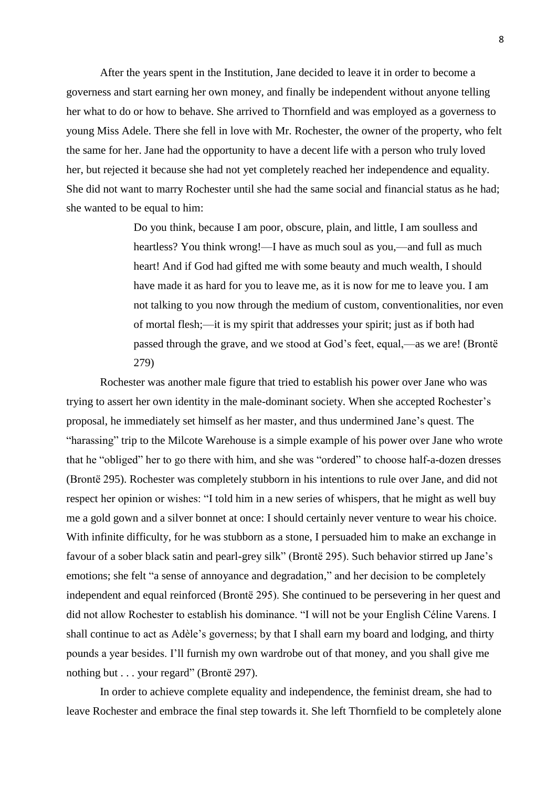After the years spent in the Institution, Jane decided to leave it in order to become a governess and start earning her own money, and finally be independent without anyone telling her what to do or how to behave. She arrived to Thornfield and was employed as a governess to young Miss Adele. There she fell in love with Mr. Rochester, the owner of the property, who felt the same for her. Jane had the opportunity to have a decent life with a person who truly loved her, but rejected it because she had not yet completely reached her independence and equality. She did not want to marry Rochester until she had the same social and financial status as he had; she wanted to be equal to him:

> Do you think, because I am poor, obscure, plain, and little, I am soulless and heartless? You think wrong!—I have as much soul as you,—and full as much heart! And if God had gifted me with some beauty and much wealth, I should have made it as hard for you to leave me, as it is now for me to leave you. I am not talking to you now through the medium of custom, conventionalities, nor even of mortal flesh;—it is my spirit that addresses your spirit; just as if both had passed through the grave, and we stood at God's feet, equal,—as we are! (Brontë 279)

Rochester was another male figure that tried to establish his power over Jane who was trying to assert her own identity in the male-dominant society. When she accepted Rochester's proposal, he immediately set himself as her master, and thus undermined Jane's quest. The "harassing" trip to the Milcote Warehouse is a simple example of his power over Jane who wrote that he "obliged" her to go there with him, and she was "ordered" to choose half-a-dozen dresses (Brontë 295). Rochester was completely stubborn in his intentions to rule over Jane, and did not respect her opinion or wishes: "I told him in a new series of whispers, that he might as well buy me a gold gown and a silver bonnet at once: I should certainly never venture to wear his choice. With infinite difficulty, for he was stubborn as a stone, I persuaded him to make an exchange in favour of a sober black satin and pearl-grey silk" (Brontë 295). Such behavior stirred up Jane's emotions; she felt "a sense of annoyance and degradation," and her decision to be completely independent and equal reinforced (Brontë 295). She continued to be persevering in her quest and did not allow Rochester to establish his dominance. "I will not be your English Céline Varens. I shall continue to act as Adèle's governess; by that I shall earn my board and lodging, and thirty pounds a year besides. I'll furnish my own wardrobe out of that money, and you shall give me nothing but . . . your regard" (Brontë 297).

In order to achieve complete equality and independence, the feminist dream, she had to leave Rochester and embrace the final step towards it. She left Thornfield to be completely alone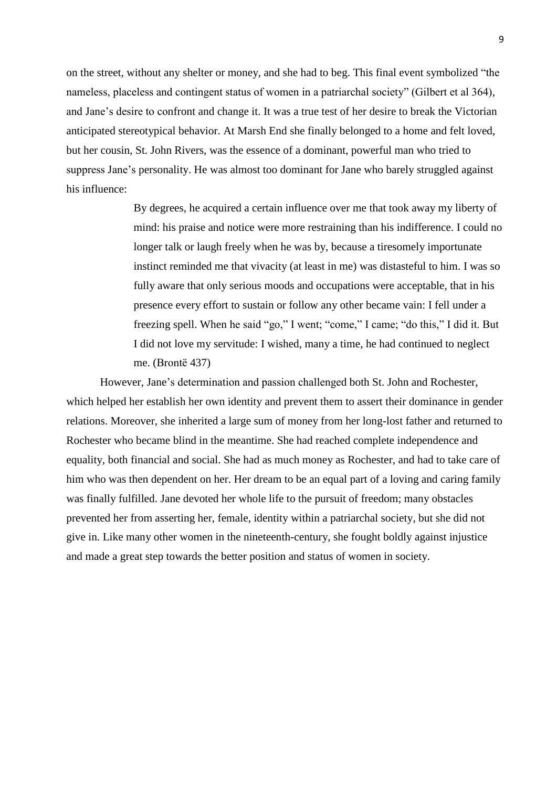on the street, without any shelter or money, and she had to beg. This final event symbolized "the nameless, placeless and contingent status of women in a patriarchal society" (Gilbert et al 364), and Jane's desire to confront and change it. It was a true test of her desire to break the Victorian anticipated stereotypical behavior. At Marsh End she finally belonged to a home and felt loved, but her cousin, St. John Rivers, was the essence of a dominant, powerful man who tried to suppress Jane's personality. He was almost too dominant for Jane who barely struggled against his influence:

> By degrees, he acquired a certain influence over me that took away my liberty of mind: his praise and notice were more restraining than his indifference. I could no longer talk or laugh freely when he was by, because a tiresomely importunate instinct reminded me that vivacity (at least in me) was distasteful to him. I was so fully aware that only serious moods and occupations were acceptable, that in his presence every effort to sustain or follow any other became vain: I fell under a freezing spell. When he said "go," I went; "come," I came; "do this," I did it. But I did not love my servitude: I wished, many a time, he had continued to neglect me. (Brontë 437)

However, Jane's determination and passion challenged both St. John and Rochester, which helped her establish her own identity and prevent them to assert their dominance in gender relations. Moreover, she inherited a large sum of money from her long-lost father and returned to Rochester who became blind in the meantime. She had reached complete independence and equality, both financial and social. She had as much money as Rochester, and had to take care of him who was then dependent on her. Her dream to be an equal part of a loving and caring family was finally fulfilled. Jane devoted her whole life to the pursuit of freedom; many obstacles prevented her from asserting her, female, identity within a patriarchal society, but she did not give in. Like many other women in the nineteenth-century, she fought boldly against injustice and made a great step towards the better position and status of women in society.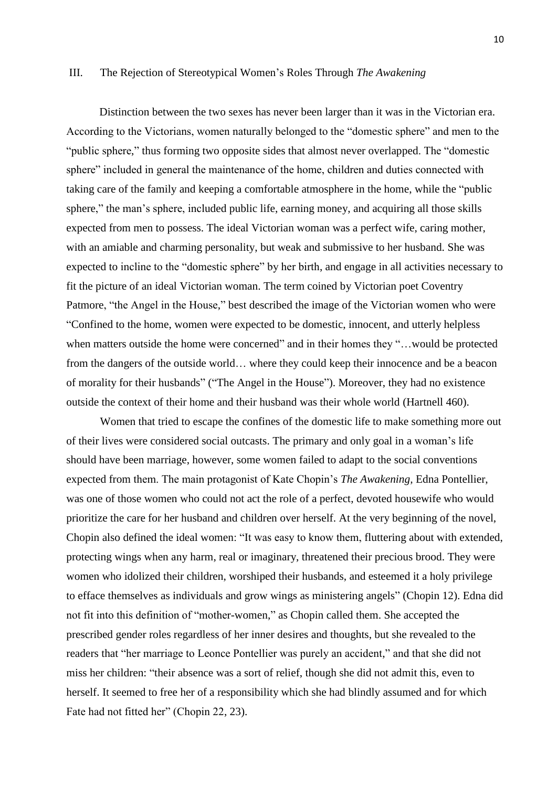## III. The Rejection of Stereotypical Women's Roles Through *The Awakening*

Distinction between the two sexes has never been larger than it was in the Victorian era. According to the Victorians, women naturally belonged to the "domestic sphere" and men to the "public sphere," thus forming two opposite sides that almost never overlapped. The "domestic sphere" included in general the maintenance of the home, children and duties connected with taking care of the family and keeping a comfortable atmosphere in the home, while the "public sphere," the man's sphere, included public life, earning money, and acquiring all those skills expected from men to possess. The ideal Victorian woman was a perfect wife, caring mother, with an amiable and charming personality, but weak and submissive to her husband. She was expected to incline to the "domestic sphere" by her birth, and engage in all activities necessary to fit the picture of an ideal Victorian woman. The term coined by Victorian poet Coventry Patmore, "the Angel in the House," best described the image of the Victorian women who were "Confined to the home, women were expected to be domestic, innocent, and utterly helpless when matters outside the home were concerned" and in their homes they "…would be protected from the dangers of the outside world… where they could keep their innocence and be a beacon of morality for their husbands" ("The Angel in the House"). Moreover, they had no existence outside the context of their home and their husband was their whole world (Hartnell 460).

Women that tried to escape the confines of the domestic life to make something more out of their lives were considered social outcasts. The primary and only goal in a woman's life should have been marriage, however, some women failed to adapt to the social conventions expected from them. The main protagonist of Kate Chopin's *The Awakening,* Edna Pontellier, was one of those women who could not act the role of a perfect, devoted housewife who would prioritize the care for her husband and children over herself. At the very beginning of the novel, Chopin also defined the ideal women: "It was easy to know them, fluttering about with extended, protecting wings when any harm, real or imaginary, threatened their precious brood. They were women who idolized their children, worshiped their husbands, and esteemed it a holy privilege to efface themselves as individuals and grow wings as ministering angels" (Chopin 12). Edna did not fit into this definition of "mother-women," as Chopin called them. She accepted the prescribed gender roles regardless of her inner desires and thoughts, but she revealed to the readers that "her marriage to Leonce Pontellier was purely an accident," and that she did not miss her children: "their absence was a sort of relief, though she did not admit this, even to herself. It seemed to free her of a responsibility which she had blindly assumed and for which Fate had not fitted her" (Chopin 22, 23).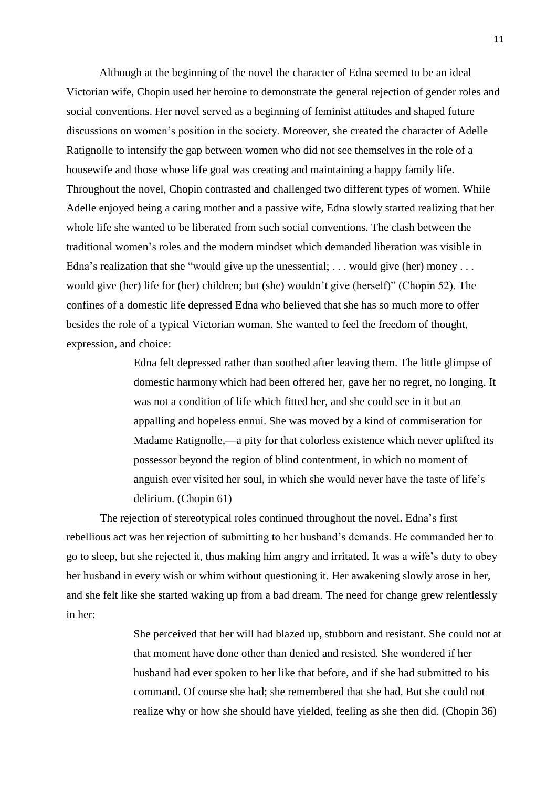Although at the beginning of the novel the character of Edna seemed to be an ideal Victorian wife, Chopin used her heroine to demonstrate the general rejection of gender roles and social conventions. Her novel served as a beginning of feminist attitudes and shaped future discussions on women's position in the society. Moreover, she created the character of Adelle Ratignolle to intensify the gap between women who did not see themselves in the role of a housewife and those whose life goal was creating and maintaining a happy family life. Throughout the novel, Chopin contrasted and challenged two different types of women. While Adelle enjoyed being a caring mother and a passive wife, Edna slowly started realizing that her whole life she wanted to be liberated from such social conventions. The clash between the traditional women's roles and the modern mindset which demanded liberation was visible in Edna's realization that she "would give up the unessential; ... would give (her) money ... would give (her) life for (her) children; but (she) wouldn't give (herself)" (Chopin 52). The confines of a domestic life depressed Edna who believed that she has so much more to offer besides the role of a typical Victorian woman. She wanted to feel the freedom of thought, expression, and choice:

> Edna felt depressed rather than soothed after leaving them. The little glimpse of domestic harmony which had been offered her, gave her no regret, no longing. It was not a condition of life which fitted her, and she could see in it but an appalling and hopeless ennui. She was moved by a kind of commiseration for Madame Ratignolle,—a pity for that colorless existence which never uplifted its possessor beyond the region of blind contentment, in which no moment of anguish ever visited her soul, in which she would never have the taste of life's delirium. (Chopin 61)

The rejection of stereotypical roles continued throughout the novel. Edna's first rebellious act was her rejection of submitting to her husband's demands. He commanded her to go to sleep, but she rejected it, thus making him angry and irritated. It was a wife's duty to obey her husband in every wish or whim without questioning it. Her awakening slowly arose in her, and she felt like she started waking up from a bad dream. The need for change grew relentlessly in her:

> She perceived that her will had blazed up, stubborn and resistant. She could not at that moment have done other than denied and resisted. She wondered if her husband had ever spoken to her like that before, and if she had submitted to his command. Of course she had; she remembered that she had. But she could not realize why or how she should have yielded, feeling as she then did. (Chopin 36)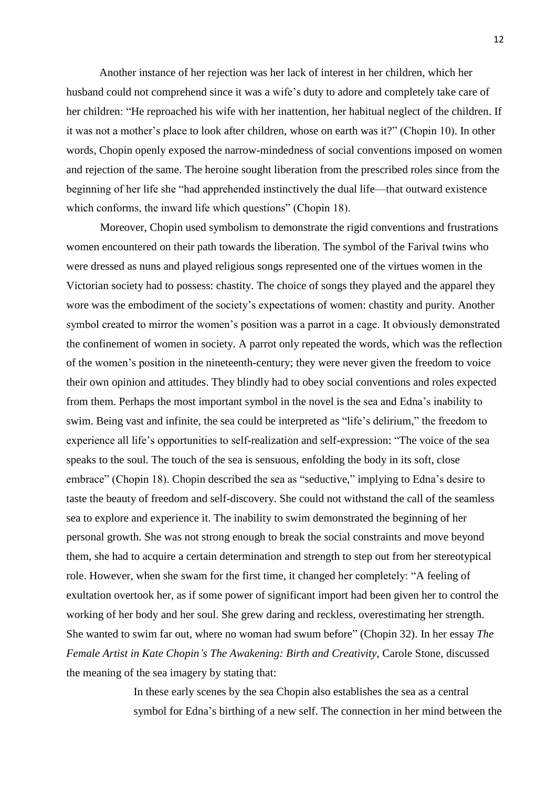Another instance of her rejection was her lack of interest in her children, which her husband could not comprehend since it was a wife's duty to adore and completely take care of her children: "He reproached his wife with her inattention, her habitual neglect of the children. If it was not a mother's place to look after children, whose on earth was it?" (Chopin 10). In other words, Chopin openly exposed the narrow-mindedness of social conventions imposed on women and rejection of the same. The heroine sought liberation from the prescribed roles since from the beginning of her life she "had apprehended instinctively the dual life—that outward existence which conforms, the inward life which questions" (Chopin 18).

Moreover, Chopin used symbolism to demonstrate the rigid conventions and frustrations women encountered on their path towards the liberation. The symbol of the Farival twins who were dressed as nuns and played religious songs represented one of the virtues women in the Victorian society had to possess: chastity. The choice of songs they played and the apparel they wore was the embodiment of the society's expectations of women: chastity and purity. Another symbol created to mirror the women's position was a parrot in a cage. It obviously demonstrated the confinement of women in society. A parrot only repeated the words, which was the reflection of the women's position in the nineteenth-century; they were never given the freedom to voice their own opinion and attitudes. They blindly had to obey social conventions and roles expected from them. Perhaps the most important symbol in the novel is the sea and Edna's inability to swim. Being vast and infinite, the sea could be interpreted as "life's delirium," the freedom to experience all life's opportunities to self-realization and self-expression: "The voice of the sea speaks to the soul. The touch of the sea is sensuous, enfolding the body in its soft, close embrace" (Chopin 18). Chopin described the sea as "seductive," implying to Edna's desire to taste the beauty of freedom and self-discovery. She could not withstand the call of the seamless sea to explore and experience it. The inability to swim demonstrated the beginning of her personal growth. She was not strong enough to break the social constraints and move beyond them, she had to acquire a certain determination and strength to step out from her stereotypical role. However, when she swam for the first time, it changed her completely: "A feeling of exultation overtook her, as if some power of significant import had been given her to control the working of her body and her soul. She grew daring and reckless, overestimating her strength. She wanted to swim far out, where no woman had swum before" (Chopin 32). In her essay *The Female Artist in Kate Chopin's The Awakening: Birth and Creativity*, Carole Stone, discussed the meaning of the sea imagery by stating that:

> In these early scenes by the sea Chopin also establishes the sea as a central symbol for Edna's birthing of a new self. The connection in her mind between the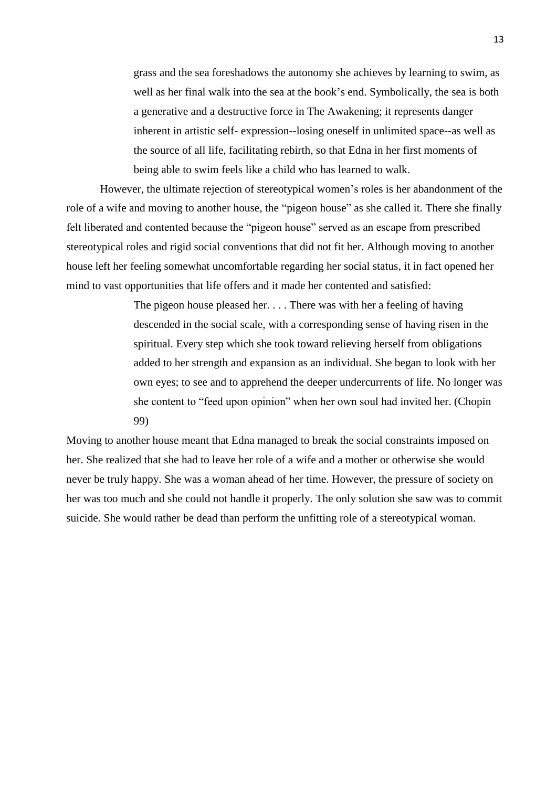grass and the sea foreshadows the autonomy she achieves by learning to swim, as well as her final walk into the sea at the book's end. Symbolically, the sea is both a generative and a destructive force in The Awakening; it represents danger inherent in artistic self- expression--losing oneself in unlimited space--as well as the source of all life, facilitating rebirth, so that Edna in her first moments of being able to swim feels like a child who has learned to walk.

However, the ultimate rejection of stereotypical women's roles is her abandonment of the role of a wife and moving to another house, the "pigeon house" as she called it. There she finally felt liberated and contented because the "pigeon house" served as an escape from prescribed stereotypical roles and rigid social conventions that did not fit her. Although moving to another house left her feeling somewhat uncomfortable regarding her social status, it in fact opened her mind to vast opportunities that life offers and it made her contented and satisfied:

> The pigeon house pleased her. . . . There was with her a feeling of having descended in the social scale, with a corresponding sense of having risen in the spiritual. Every step which she took toward relieving herself from obligations added to her strength and expansion as an individual. She began to look with her own eyes; to see and to apprehend the deeper undercurrents of life. No longer was she content to "feed upon opinion" when her own soul had invited her. (Chopin 99)

Moving to another house meant that Edna managed to break the social constraints imposed on her. She realized that she had to leave her role of a wife and a mother or otherwise she would never be truly happy. She was a woman ahead of her time. However, the pressure of society on her was too much and she could not handle it properly. The only solution she saw was to commit suicide. She would rather be dead than perform the unfitting role of a stereotypical woman.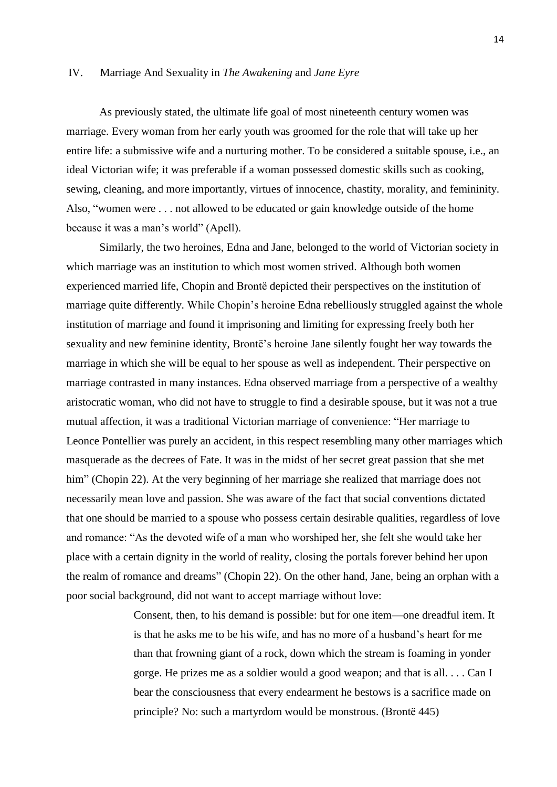## IV. Marriage And Sexuality in *The Awakening* and *Jane Eyre*

As previously stated, the ultimate life goal of most nineteenth century women was marriage. Every woman from her early youth was groomed for the role that will take up her entire life: a submissive wife and a nurturing mother. To be considered a suitable spouse, i.e., an ideal Victorian wife; it was preferable if a woman possessed domestic skills such as cooking, sewing, cleaning, and more importantly, virtues of innocence, chastity, morality, and femininity. Also, "women were . . . not allowed to be educated or gain knowledge outside of the home because it was a man's world" (Apell).

Similarly, the two heroines, Edna and Jane, belonged to the world of Victorian society in which marriage was an institution to which most women strived. Although both women experienced married life, Chopin and Brontë depicted their perspectives on the institution of marriage quite differently. While Chopin's heroine Edna rebelliously struggled against the whole institution of marriage and found it imprisoning and limiting for expressing freely both her sexuality and new feminine identity, Brontë's heroine Jane silently fought her way towards the marriage in which she will be equal to her spouse as well as independent. Their perspective on marriage contrasted in many instances. Edna observed marriage from a perspective of a wealthy aristocratic woman, who did not have to struggle to find a desirable spouse, but it was not a true mutual affection, it was a traditional Victorian marriage of convenience: "Her marriage to Leonce Pontellier was purely an accident, in this respect resembling many other marriages which masquerade as the decrees of Fate. It was in the midst of her secret great passion that she met him" (Chopin 22). At the very beginning of her marriage she realized that marriage does not necessarily mean love and passion. She was aware of the fact that social conventions dictated that one should be married to a spouse who possess certain desirable qualities, regardless of love and romance: "As the devoted wife of a man who worshiped her, she felt she would take her place with a certain dignity in the world of reality, closing the portals forever behind her upon the realm of romance and dreams" (Chopin 22). On the other hand, Jane, being an orphan with a poor social background, did not want to accept marriage without love:

> Consent, then, to his demand is possible: but for one item—one dreadful item. It is that he asks me to be his wife, and has no more of a husband's heart for me than that frowning giant of a rock, down which the stream is foaming in yonder gorge. He prizes me as a soldier would a good weapon; and that is all. . . . Can I bear the consciousness that every endearment he bestows is a sacrifice made on principle? No: such a martyrdom would be monstrous. (Brontë 445)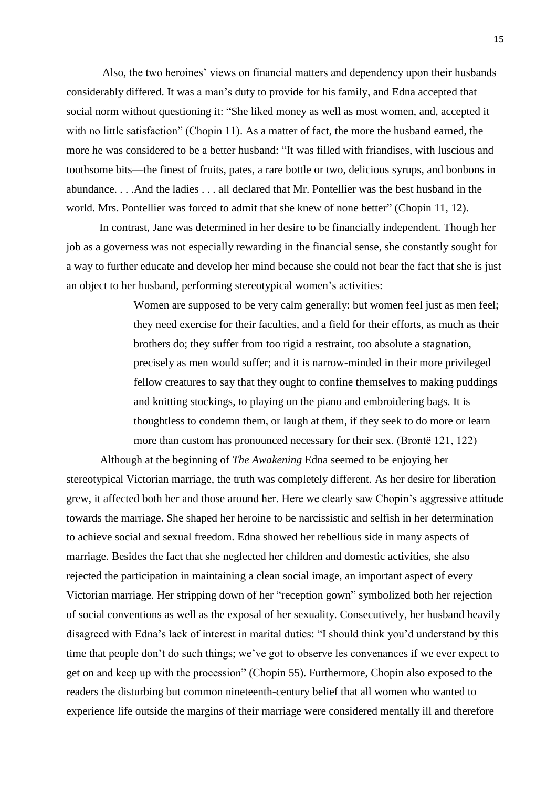Also, the two heroines' views on financial matters and dependency upon their husbands considerably differed. It was a man's duty to provide for his family, and Edna accepted that social norm without questioning it: "She liked money as well as most women, and, accepted it with no little satisfaction" (Chopin 11). As a matter of fact, the more the husband earned, the more he was considered to be a better husband: "It was filled with friandises, with luscious and toothsome bits—the finest of fruits, pates, a rare bottle or two, delicious syrups, and bonbons in abundance. . . .And the ladies . . . all declared that Mr. Pontellier was the best husband in the world. Mrs. Pontellier was forced to admit that she knew of none better" (Chopin 11, 12).

In contrast, Jane was determined in her desire to be financially independent. Though her job as a governess was not especially rewarding in the financial sense, she constantly sought for a way to further educate and develop her mind because she could not bear the fact that she is just an object to her husband, performing stereotypical women's activities:

> Women are supposed to be very calm generally: but women feel just as men feel; they need exercise for their faculties, and a field for their efforts, as much as their brothers do; they suffer from too rigid a restraint, too absolute a stagnation, precisely as men would suffer; and it is narrow-minded in their more privileged fellow creatures to say that they ought to confine themselves to making puddings and knitting stockings, to playing on the piano and embroidering bags. It is thoughtless to condemn them, or laugh at them, if they seek to do more or learn more than custom has pronounced necessary for their sex. (Brontë 121, 122)

Although at the beginning of *The Awakening* Edna seemed to be enjoying her stereotypical Victorian marriage, the truth was completely different. As her desire for liberation grew, it affected both her and those around her. Here we clearly saw Chopin's aggressive attitude towards the marriage. She shaped her heroine to be narcissistic and selfish in her determination to achieve social and sexual freedom. Edna showed her rebellious side in many aspects of marriage. Besides the fact that she neglected her children and domestic activities, she also rejected the participation in maintaining a clean social image, an important aspect of every Victorian marriage. Her stripping down of her "reception gown" symbolized both her rejection of social conventions as well as the exposal of her sexuality. Consecutively, her husband heavily disagreed with Edna's lack of interest in marital duties: "I should think you'd understand by this time that people don't do such things; we've got to observe les convenances if we ever expect to get on and keep up with the procession" (Chopin 55). Furthermore, Chopin also exposed to the readers the disturbing but common nineteenth-century belief that all women who wanted to experience life outside the margins of their marriage were considered mentally ill and therefore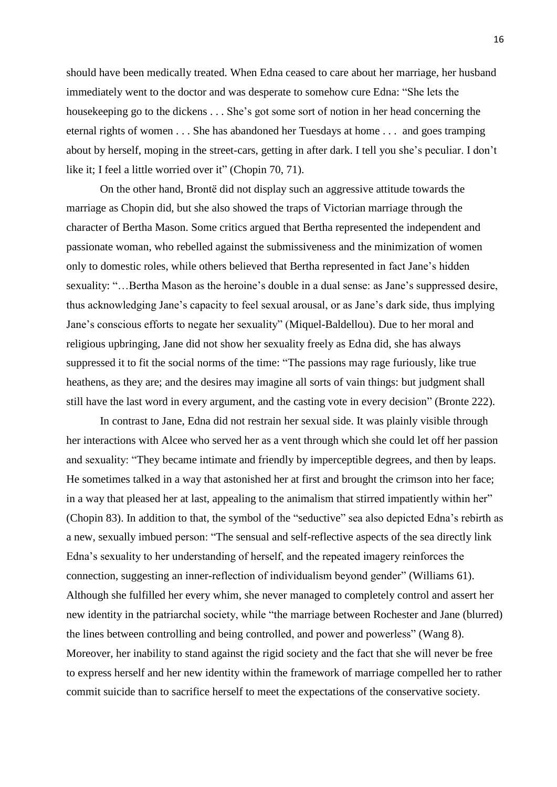should have been medically treated. When Edna ceased to care about her marriage, her husband immediately went to the doctor and was desperate to somehow cure Edna: "She lets the housekeeping go to the dickens . . . She's got some sort of notion in her head concerning the eternal rights of women . . . She has abandoned her Tuesdays at home . . . and goes tramping about by herself, moping in the street-cars, getting in after dark. I tell you she's peculiar. I don't like it; I feel a little worried over it" (Chopin 70, 71).

On the other hand, Brontë did not display such an aggressive attitude towards the marriage as Chopin did, but she also showed the traps of Victorian marriage through the character of Bertha Mason. Some critics argued that Bertha represented the independent and passionate woman, who rebelled against the submissiveness and the minimization of women only to domestic roles, while others believed that Bertha represented in fact Jane's hidden sexuality: "…Bertha Mason as the heroine's double in a dual sense: as Jane's suppressed desire, thus acknowledging Jane's capacity to feel sexual arousal, or as Jane's dark side, thus implying Jane's conscious efforts to negate her sexuality" (Miquel-Baldellou). Due to her moral and religious upbringing, Jane did not show her sexuality freely as Edna did, she has always suppressed it to fit the social norms of the time: "The passions may rage furiously, like true heathens, as they are; and the desires may imagine all sorts of vain things: but judgment shall still have the last word in every argument, and the casting vote in every decision" (Bronte 222).

In contrast to Jane, Edna did not restrain her sexual side. It was plainly visible through her interactions with Alcee who served her as a vent through which she could let off her passion and sexuality: "They became intimate and friendly by imperceptible degrees, and then by leaps. He sometimes talked in a way that astonished her at first and brought the crimson into her face; in a way that pleased her at last, appealing to the animalism that stirred impatiently within her" (Chopin 83). In addition to that, the symbol of the "seductive" sea also depicted Edna's rebirth as a new, sexually imbued person: "The sensual and self-reflective aspects of the sea directly link Edna's sexuality to her understanding of herself, and the repeated imagery reinforces the connection, suggesting an inner-reflection of individualism beyond gender" (Williams 61). Although she fulfilled her every whim, she never managed to completely control and assert her new identity in the patriarchal society, while "the marriage between Rochester and Jane (blurred) the lines between controlling and being controlled, and power and powerless" (Wang 8). Moreover, her inability to stand against the rigid society and the fact that she will never be free to express herself and her new identity within the framework of marriage compelled her to rather commit suicide than to sacrifice herself to meet the expectations of the conservative society.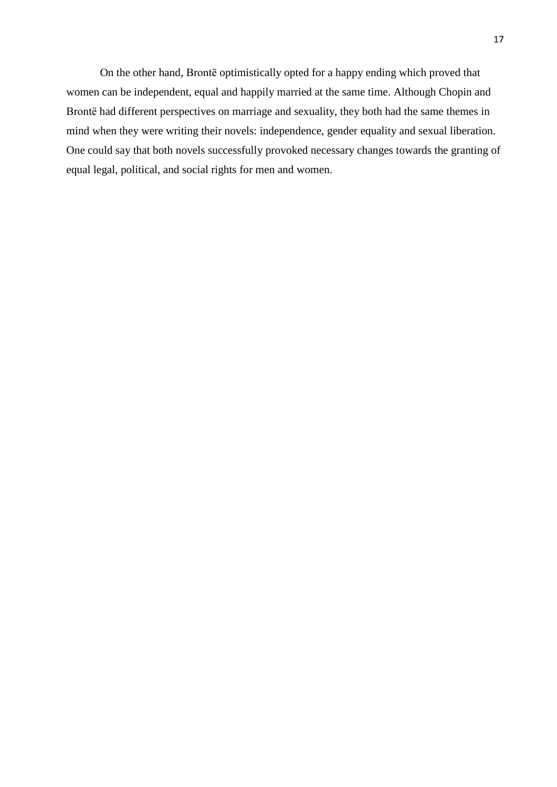On the other hand, Brontë optimistically opted for a happy ending which proved that women can be independent, equal and happily married at the same time. Although Chopin and Brontë had different perspectives on marriage and sexuality, they both had the same themes in mind when they were writing their novels: independence, gender equality and sexual liberation. One could say that both novels successfully provoked necessary changes towards the granting of equal legal, political, and social rights for men and women.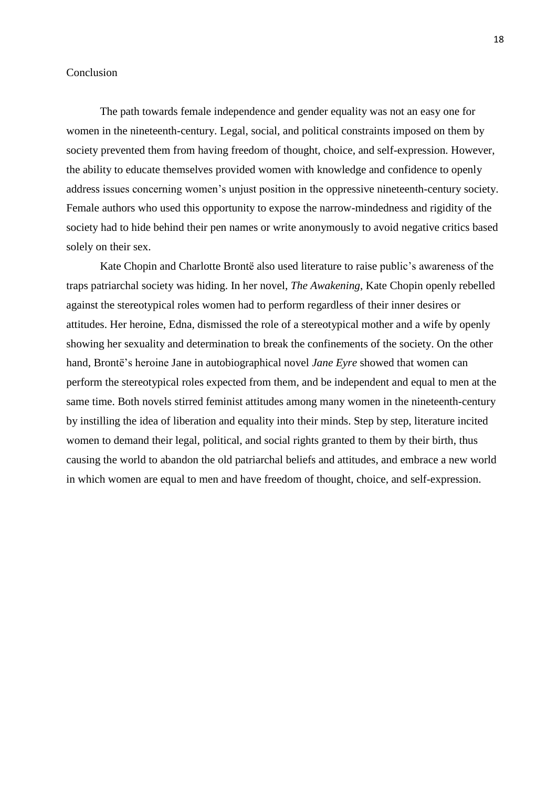#### Conclusion

The path towards female independence and gender equality was not an easy one for women in the nineteenth-century. Legal, social, and political constraints imposed on them by society prevented them from having freedom of thought, choice, and self-expression. However, the ability to educate themselves provided women with knowledge and confidence to openly address issues concerning women's unjust position in the oppressive nineteenth-century society. Female authors who used this opportunity to expose the narrow-mindedness and rigidity of the society had to hide behind their pen names or write anonymously to avoid negative critics based solely on their sex.

Kate Chopin and Charlotte Brontë also used literature to raise public's awareness of the traps patriarchal society was hiding. In her novel, *The Awakening*, Kate Chopin openly rebelled against the stereotypical roles women had to perform regardless of their inner desires or attitudes. Her heroine, Edna, dismissed the role of a stereotypical mother and a wife by openly showing her sexuality and determination to break the confinements of the society. On the other hand, Brontë's heroine Jane in autobiographical novel *Jane Eyre* showed that women can perform the stereotypical roles expected from them, and be independent and equal to men at the same time. Both novels stirred feminist attitudes among many women in the nineteenth-century by instilling the idea of liberation and equality into their minds. Step by step, literature incited women to demand their legal, political, and social rights granted to them by their birth, thus causing the world to abandon the old patriarchal beliefs and attitudes, and embrace a new world in which women are equal to men and have freedom of thought, choice, and self-expression.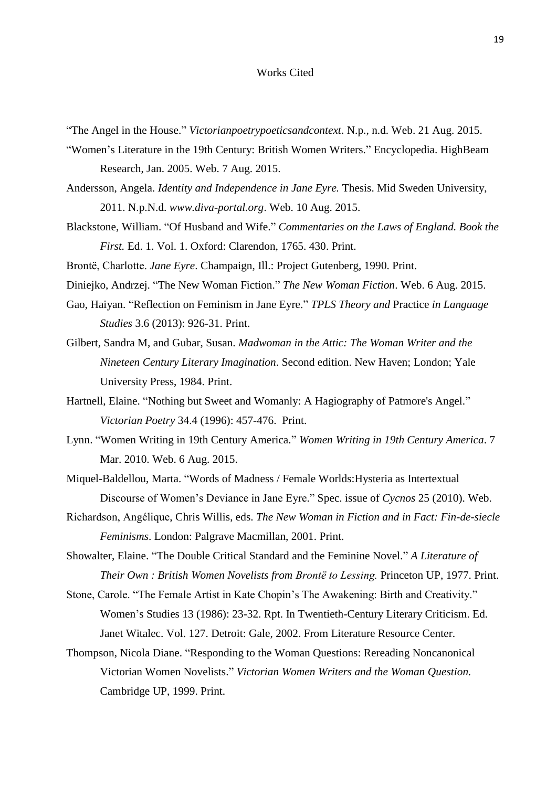#### Works Cited

- "The Angel in the House." *Victorianpoetrypoeticsandcontext*. N.p., n.d. Web. 21 Aug. 2015.
- "Women's Literature in the 19th Century: British Women Writers." Encyclopedia. HighBeam Research, Jan. 2005. Web. 7 Aug. 2015.
- Andersson, Angela. *Identity and Independence in Jane Eyre.* Thesis. Mid Sweden University, 2011. N.p.N.d. *www.diva-portal.org*. Web. 10 Aug. 2015.
- Blackstone, William. "Of Husband and Wife." *Commentaries on the Laws of England. Book the First.* Ed. 1. Vol. 1. Oxford: Clarendon, 1765. 430. Print.
- Brontë, Charlotte. *Jane Eyre*. Champaign, Ill.: Project Gutenberg, 1990. Print.
- Diniejko, Andrzej. "The New Woman Fiction." *The New Woman Fiction*. Web. 6 Aug. 2015.
- Gao, Haiyan. "Reflection on Feminism in Jane Eyre." *TPLS Theory and* Practice *in Language Studies* 3.6 (2013): 926-31. Print.
- Gilbert, Sandra M, and Gubar, Susan. *Madwoman in the Attic: The Woman Writer and the Nineteen Century Literary Imagination*. Second edition. New Haven; London; Yale University Press, 1984. Print.
- Hartnell, Elaine. "Nothing but Sweet and Womanly: A Hagiography of Patmore's Angel." *Victorian Poetry* 34.4 (1996): 457-476. Print.
- Lynn. "Women Writing in 19th Century America." *Women Writing in 19th Century America*. 7 Mar. 2010. Web. 6 Aug. 2015.
- Miquel-Baldellou, Marta. "Words of Madness / Female Worlds:Hysteria as Intertextual Discourse of Women's Deviance in Jane Eyre." Spec. issue of *Cycnos* 25 (2010). Web.
- Richardson, Angélique, Chris Willis, eds. *The New Woman in Fiction and in Fact: Fin-de-siecle Feminisms*. London: Palgrave Macmillan, 2001. Print.
- Showalter, Elaine. "The Double Critical Standard and the Feminine Novel." *A Literature of Their Own : British Women Novelists from Brontë to Lessing.* Princeton UP, 1977. Print.
- Stone, Carole. "The Female Artist in Kate Chopin's The Awakening: Birth and Creativity." Women's Studies 13 (1986): 23-32. Rpt. In Twentieth-Century Literary Criticism. Ed. Janet Witalec. Vol. 127. Detroit: Gale, 2002. From Literature Resource Center.
- Thompson, Nicola Diane. "Responding to the Woman Questions: Rereading Noncanonical Victorian Women Novelists." *Victorian Women Writers and the Woman Question.* Cambridge UP, 1999. Print.